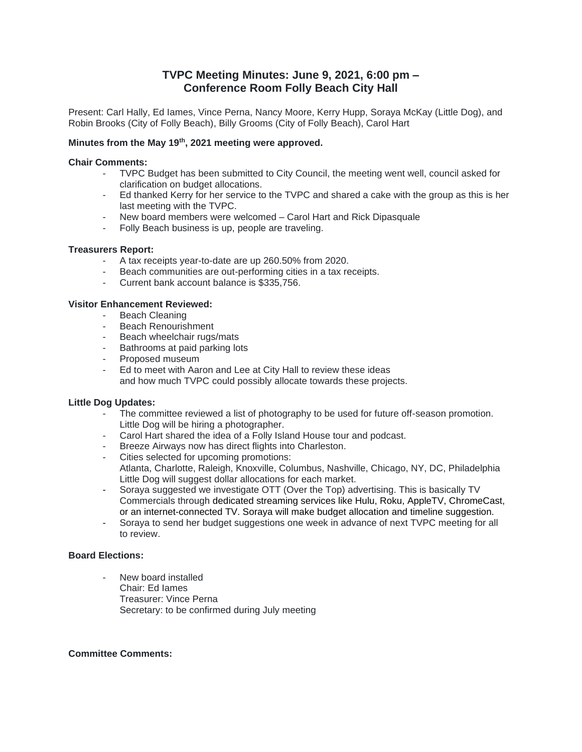# **TVPC Meeting Minutes: June 9, 2021, 6:00 pm – Conference Room Folly Beach City Hall**

Present: Carl Hally, Ed Iames, Vince Perna, Nancy Moore, Kerry Hupp, Soraya McKay (Little Dog), and Robin Brooks (City of Folly Beach), Billy Grooms (City of Folly Beach), Carol Hart

# **Minutes from the May 19th , 2021 meeting were approved.**

# **Chair Comments:**

- TVPC Budget has been submitted to City Council, the meeting went well, council asked for clarification on budget allocations.
- Ed thanked Kerry for her service to the TVPC and shared a cake with the group as this is her last meeting with the TVPC.
- New board members were welcomed Carol Hart and Rick Dipasquale
- Folly Beach business is up, people are traveling.

# **Treasurers Report:**

- A tax receipts year-to-date are up 260.50% from 2020.
- Beach communities are out-performing cities in a tax receipts.
- Current bank account balance is \$335,756.

#### **Visitor Enhancement Reviewed:**

- Beach Cleaning
- Beach Renourishment
- Beach wheelchair rugs/mats
- Bathrooms at paid parking lots
- Proposed museum
- Ed to meet with Aaron and Lee at City Hall to review these ideas and how much TVPC could possibly allocate towards these projects.

# **Little Dog Updates:**

- The committee reviewed a list of photography to be used for future off-season promotion. Little Dog will be hiring a photographer.
- Carol Hart shared the idea of a Folly Island House tour and podcast.
- Breeze Airways now has direct flights into Charleston.
- Cities selected for upcoming promotions: Atlanta, Charlotte, Raleigh, Knoxville, Columbus, Nashville, Chicago, NY, DC, Philadelphia Little Dog will suggest dollar allocations for each market.
- Soraya suggested we investigate OTT (Over the Top) advertising. This is basically TV Commercials through dedicated streaming services like Hulu, Roku, AppleTV, ChromeCast, or an internet-connected TV. Soraya will make budget allocation and timeline suggestion.
- Soraya to send her budget suggestions one week in advance of next TVPC meeting for all to review.

# **Board Elections:**

New board installed Chair: Ed Iames Treasurer: Vince Perna Secretary: to be confirmed during July meeting

#### **Committee Comments:**